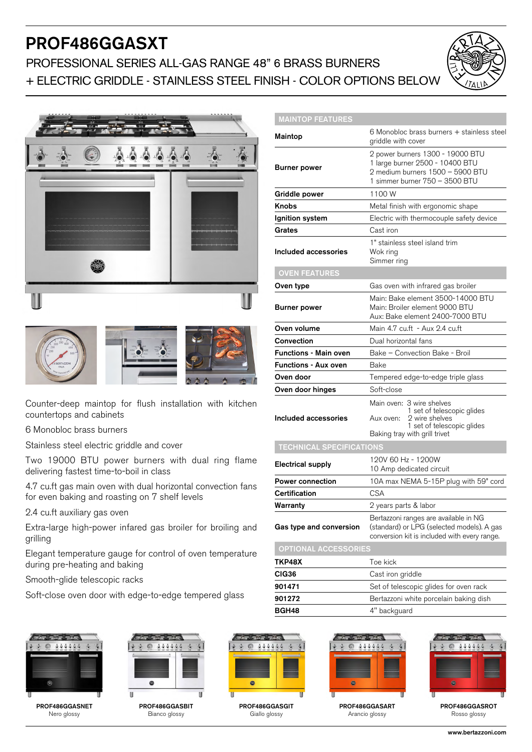# PROF486GGASXT

## PROFESSIONAL SERIES ALL-GAS RANGE 48" 6 BRASS BURNERS + ELECTRIC GRIDDLE - STAINLESS STEEL FINISH - COLOR OPTIONS BELOW





Counter-deep maintop for flush installation with kitchen countertops and cabinets

6 Monobloc brass burners

Stainless steel electric griddle and cover

Two 19000 BTU power burners with dual ring flame delivering fastest time-to-boil in class

4.7 cu.ft gas main oven with dual horizontal convection fans for even baking and roasting on 7 shelf levels

2.4 cu.ft auxiliary gas oven

Extra-large high-power infared gas broiler for broiling and grilling

Elegant temperature gauge for control of oven temperature during pre-heating and baking

Smooth-glide telescopic racks

Soft-close oven door with edge-to-edge tempered glass

| <b>MAINTOP FEATURES</b>         |                                                                                                                                                       |
|---------------------------------|-------------------------------------------------------------------------------------------------------------------------------------------------------|
| Maintop                         | 6 Monobloc brass burners + stainless steel<br>griddle with cover                                                                                      |
| <b>Burner power</b>             | 2 power burners 1300 - 19000 BTU<br>1 large burner 2500 - 10400 BTU<br>2 medium burners 1500 - 5900 BTU<br>1 simmer burner 750 - 3500 BTU             |
| Griddle power                   | 1100W                                                                                                                                                 |
| <b>Knobs</b>                    | Metal finish with ergonomic shape                                                                                                                     |
| Ignition system                 | Electric with thermocouple safety device                                                                                                              |
| Grates                          | Cast iron                                                                                                                                             |
| Included accessories            | 1" stainless steel island trim<br>Wok ring<br>Simmer ring                                                                                             |
| <b>OVEN FEATURES</b>            |                                                                                                                                                       |
| Oven type                       | Gas oven with infrared gas broiler                                                                                                                    |
| <b>Burner power</b>             | Main: Bake element 3500-14000 BTU<br>Main: Broiler element 9000 BTU<br>Aux: Bake element 2400-7000 BTU                                                |
| Oven volume                     | Main 4.7 cu.ft - Aux 2.4 cu.ft                                                                                                                        |
| Convection                      | Dual horizontal fans                                                                                                                                  |
| <b>Functions - Main oven</b>    | Bake - Convection Bake - Broil                                                                                                                        |
| <b>Functions - Aux oven</b>     | Bake                                                                                                                                                  |
| Oven door                       | Tempered edge-to-edge triple glass                                                                                                                    |
| Oven door hinges                | Soft-close                                                                                                                                            |
| Included accessories            | Main oven: 3 wire shelves<br>1 set of telescopic glides<br>2 wire shelves<br>Aux oven:<br>1 set of telescopic glides<br>Baking tray with grill trivet |
| <b>TECHNICAL SPECIFICATIONS</b> |                                                                                                                                                       |
| <b>Electrical supply</b>        | 120V 60 Hz - 1200W<br>10 Amp dedicated circuit                                                                                                        |
| <b>Power connection</b>         | 10A max NEMA 5-15P plug with 59" cord                                                                                                                 |
| Certification                   | <b>CSA</b>                                                                                                                                            |
| Warranty                        | 2 years parts & labor                                                                                                                                 |
| Gas type and conversion         | Bertazzoni ranges are available in NG<br>(standard) or LPG (selected models). A gas<br>conversion kit is included with every range.                   |
| <b>OPTIONAL ACCESSORIES</b>     |                                                                                                                                                       |
| TKP48X                          | Toe kick                                                                                                                                              |
| CIG36                           | Cast iron griddle                                                                                                                                     |
| 901471                          | Set of telescopic glides for oven rack                                                                                                                |







PROF486GGASBIT Bianco glossy



PROF486GGASGIT Giallo glossy



BGH48 4" backguard

**901272** Bertazzoni white porcelain baking dish

PROF486GGASART Arancio glossy



PROF486GGASROT Rosso glossy